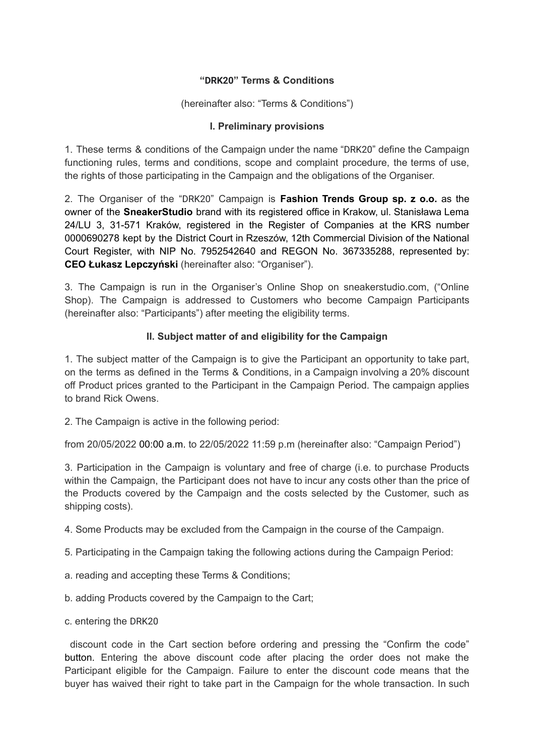## **"DRK20" Terms & Conditions**

(hereinafter also: "Terms & Conditions")

## **I. Preliminary provisions**

1. These terms & conditions of the Campaign under the name "DRK20" define the Campaign functioning rules, terms and conditions, scope and complaint procedure, the terms of use, the rights of those participating in the Campaign and the obligations of the Organiser.

2. The Organiser of the "DRK20" Campaign is **Fashion Trends Group sp. z o.o.** as the owner of the **SneakerStudio** brand with its registered office in Krakow, ul. Stanisława Lema 24/LU 3, 31-571 Kraków, registered in the Register of Companies at the KRS number 0000690278 kept by the District Court in Rzeszów, 12th Commercial Division of the National Court Register, with NIP No. 7952542640 and REGON No. 367335288, represented by: **CEO Łukasz Lepczyński** (hereinafter also: "Organiser").

3. The Campaign is run in the Organiser's Online Shop on sneakerstudio.com, ("Online Shop). The Campaign is addressed to Customers who become Campaign Participants (hereinafter also: "Participants") after meeting the eligibility terms.

# **II. Subject matter of and eligibility for the Campaign**

1. The subject matter of the Campaign is to give the Participant an opportunity to take part, on the terms as defined in the Terms & Conditions, in a Campaign involving a 20% discount off Product prices granted to the Participant in the Campaign Period. The campaign applies to brand Rick Owens.

2. The Campaign is active in the following period:

from 20/05/2022 00:00 a.m. to 22/05/2022 11:59 p.m (hereinafter also: "Campaign Period")

3. Participation in the Campaign is voluntary and free of charge (i.e. to purchase Products within the Campaign, the Participant does not have to incur any costs other than the price of the Products covered by the Campaign and the costs selected by the Customer, such as shipping costs).

4. Some Products may be excluded from the Campaign in the course of the Campaign.

- 5. Participating in the Campaign taking the following actions during the Campaign Period:
- a. reading and accepting these Terms & Conditions;
- b. adding Products covered by the Campaign to the Cart;
- c. entering the DRK20

discount code in the Cart section before ordering and pressing the "Confirm the code" button. Entering the above discount code after placing the order does not make the Participant eligible for the Campaign. Failure to enter the discount code means that the buyer has waived their right to take part in the Campaign for the whole transaction. In such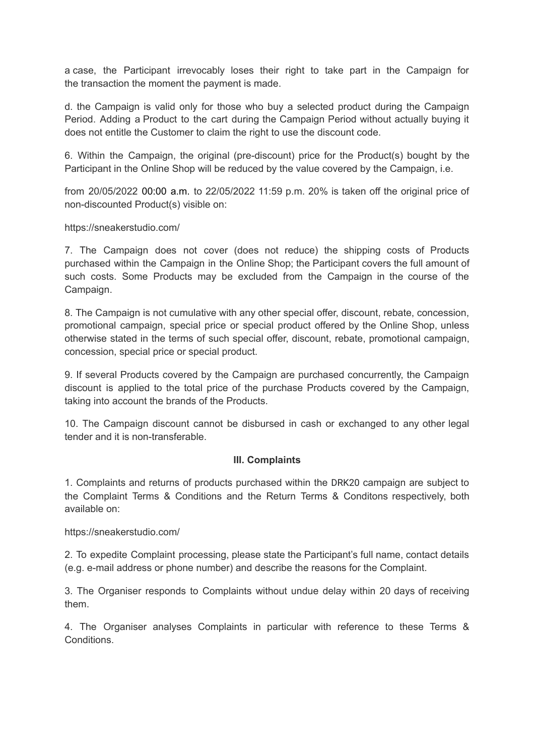a case, the Participant irrevocably loses their right to take part in the Campaign for the transaction the moment the payment is made.

d. the Campaign is valid only for those who buy a selected product during the Campaign Period. Adding a Product to the cart during the Campaign Period without actually buying it does not entitle the Customer to claim the right to use the discount code.

6. Within the Campaign, the original (pre-discount) price for the Product(s) bought by the Participant in the Online Shop will be reduced by the value covered by the Campaign, i.e.

from 20/05/2022 00:00 a.m. to 22/05/2022 11:59 p.m. 20% is taken off the original price of non-discounted Product(s) visible on:

https://sneakerstudio.com/

7. The Campaign does not cover (does not reduce) the shipping costs of Products purchased within the Campaign in the Online Shop; the Participant covers the full amount of such costs. Some Products may be excluded from the Campaign in the course of the Campaign.

8. The Campaign is not cumulative with any other special offer, discount, rebate, concession, promotional campaign, special price or special product offered by the Online Shop, unless otherwise stated in the terms of such special offer, discount, rebate, promotional campaign, concession, special price or special product.

9. If several Products covered by the Campaign are purchased concurrently, the Campaign discount is applied to the total price of the purchase Products covered by the Campaign, taking into account the brands of the Products.

10. The Campaign discount cannot be disbursed in cash or exchanged to any other legal tender and it is non-transferable.

### **III. Complaints**

1. Complaints and returns of products purchased within the DRK20 campaign are subject to the Complaint Terms & Conditions and the Return Terms & Conditons respectively, both available on:

https://sneakerstudio.com/

2. To expedite Complaint processing, please state the Participant's full name, contact details (e.g. e-mail address or phone number) and describe the reasons for the Complaint.

3. The Organiser responds to Complaints without undue delay within 20 days of receiving them.

4. The Organiser analyses Complaints in particular with reference to these Terms & **Conditions**